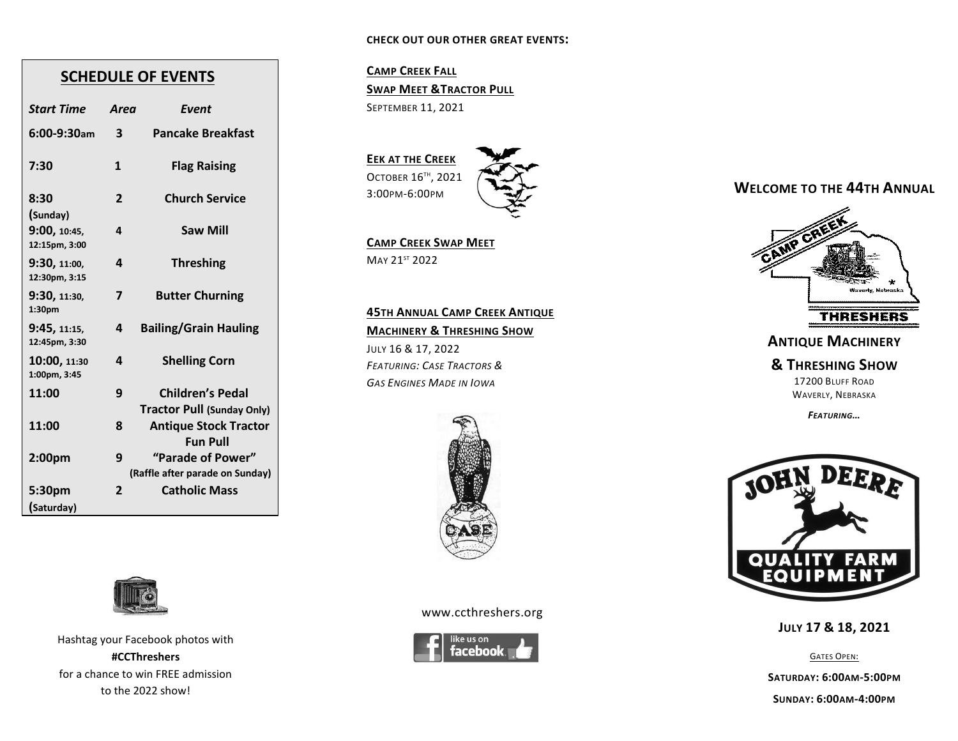#### **CHECK OUT OUR OTHER GREAT EVENTS:**

# **SCHEDULE OF EVENTS**

| <b>Start Time</b>             | Area           | Event                                                        |
|-------------------------------|----------------|--------------------------------------------------------------|
| $6:00-9:30$ am                | 3              | <b>Pancake Breakfast</b>                                     |
| 7:30                          | 1              | <b>Flag Raising</b>                                          |
| 8:30<br>(Sunday)              | $\overline{2}$ | <b>Church Service</b>                                        |
| 9:00, 10:45,<br>12:15pm, 3:00 | 4              | <b>Saw Mill</b>                                              |
| 9:30, 11:00,<br>12:30pm, 3:15 | 4              | <b>Threshing</b>                                             |
| 9:30, 11:30,<br>1:30pm        | 7              | <b>Butter Churning</b>                                       |
| 9:45, 11:15,<br>12:45pm, 3:30 | 4              | <b>Bailing/Grain Hauling</b>                                 |
| 10:00, 11:30<br>1:00pm, 3:45  | 4              | <b>Shelling Corn</b>                                         |
| 11:00                         | 9              | <b>Children's Pedal</b><br><b>Tractor Pull (Sunday Only)</b> |
| 11:00                         | 8              | <b>Antique Stock Tractor</b><br><b>Fun Pull</b>              |
| 2:00 <sub>pm</sub>            | 9              | "Parade of Power"<br>(Raffle after parade on Sunday)         |
| 5:30pm<br>(Saturday)          | 2              | <b>Catholic Mass</b>                                         |



Hashtag your Facebook photos with **#CCThreshers** for a chance to win FREE admission to the 2022 show!

### **CAMP CREEK FALL SWAP MEET &TRACTOR PULL** SEPTEMBER 11, 2021

# **EEK** AT THE CREEK OCTOBER 16TH , 2021 3:00PM-6:00PM

**CAMP CREEK SWAP MEET** MAY 21<sup>ST</sup> 2022

**45TH ANNUAL CAMP CREEK ANTIQUE MACHINERY & THRESHING SHOW**  JULY 16 & 17, 2022 *FEATURING: CASE TRACTORS & GAS ENGINES MADE IN IOWA* 



www.ccthreshers.org



# **WELCOME TO THE 44TH ANNUAL**



### **ANTIQUE MACHINERY**

**& THRESHING SHOW**

17200 BLUFF ROAD WAVERLY, NEBRASKA

*FEATURING…*



**JULY 17 & 18, 2021**

GATES OPEN:

**SATURDAY: 6:00AM-5:00PM**

**SUNDAY: 6:00AM-4:00PM**